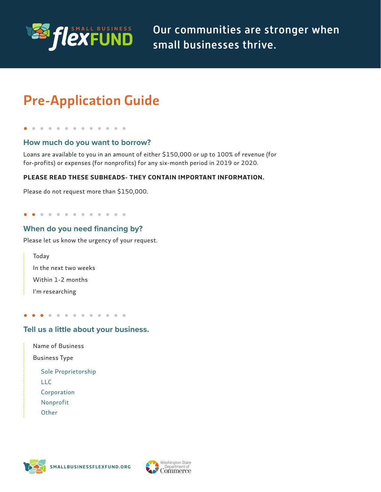

Our communities are stronger when small businesses thrive.

# Pre-Application Guide

. . . . . . . . . . . .

#### **How much do you want to borrow?**

 Loans are available to you in an amount of either \$150,000 or up to 100% of revenue (for for-profits) or expenses (for nonprofits) for any six-month period in 2019 or 2020.

#### **PLEASE READ THESE SUBHEADS- THEY CONTAIN IMPORTANT INFORMATION.**

Please do not request more than \$150,000.

. . . . . . . . . . . . .

### **When do you need financing by?**

Please let us know the urgency of your request.

| Today                 |
|-----------------------|
| In the next two weeks |
| Within 1-2 months     |
| I'm researching       |

. . . . . . . . . . .  $\bullet$ 

#### **Tell us a little about your business.**

 Name of Business

Business Type

Sole Proprietorship

LLC

Corporation

Nonprofit

**Other** 

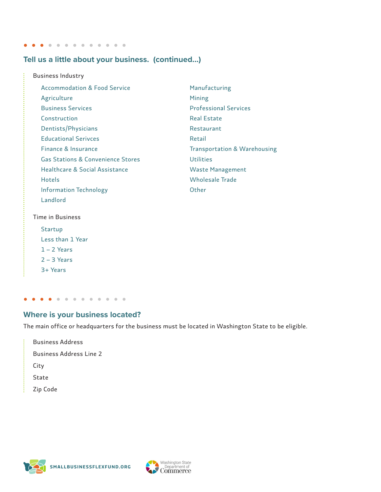. . . . . . . . . . . . . .

### **Tell us a little about your business. (continued...)**

| <b>Business Industry</b>                |                                         |
|-----------------------------------------|-----------------------------------------|
| <b>Accommodation &amp; Food Service</b> | Manufacturing                           |
| Agriculture                             | Mining                                  |
| <b>Business Services</b>                | <b>Professional Services</b>            |
| Construction                            | <b>Real Estate</b>                      |
| Dentists/Physicians                     | Restaurant                              |
| <b>Educational Serivces</b>             | Retail                                  |
| Finance & Insurance                     | <b>Transportation &amp; Warehousing</b> |
| Gas Stations & Convenience Stores       | <b>Utilities</b>                        |
| Healthcare & Social Assistance          | <b>Waste Management</b>                 |
| <b>Hotels</b>                           | Wholesale Trade                         |
| <b>Information Technology</b>           | Other                                   |
| Landlord                                |                                         |
|                                         |                                         |

Time in Business

--------------

- Startup
- Less than 1 Year
- 1 2 Years
- 2 3 Years
- 3+ Years

 $\vdots$ 

ł

#### $\bullet$  $\bullet$  $\bullet$

#### **Where is your business located?**

The main office or headquarters for the business must be located in Washington State to be eligible.

Business Address Business Address Line 2 City State Zip Code



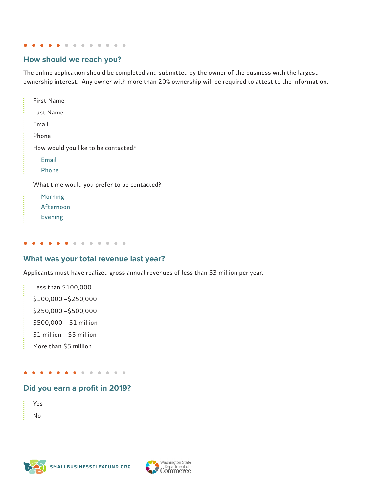. . . . . . .  $\bullet$  $\sim$ 

#### **How should we reach you?**

The online application should be completed and submitted by the owner of the business with the largest ownership interest. Any owner with more than 20% ownership will be required to attest to the information.

| First Name                                  |
|---------------------------------------------|
| Last Name                                   |
| Email                                       |
| Phone                                       |
| How would you like to be contacted?         |
| Email                                       |
| Phone                                       |
| What time would you prefer to be contacted? |
| Morning                                     |
| Afternoon                                   |
| <b>Evening</b>                              |

#### **What was your total revenue last year?**

. . . . . . . . . .

Applicants must have realized gross annual revenues of less than \$3 million per year.

Less than \$100,000 \$100,000 –\$250,000 \$250,000 –\$500,000 \$500,000 – \$1 million \$1 million – \$5 million More than \$5 million

. . . . . . . . .  $\bullet$ 

### **Did you earn a profit in 2019?**

| f. |  |
|----|--|
|    |  |

.........

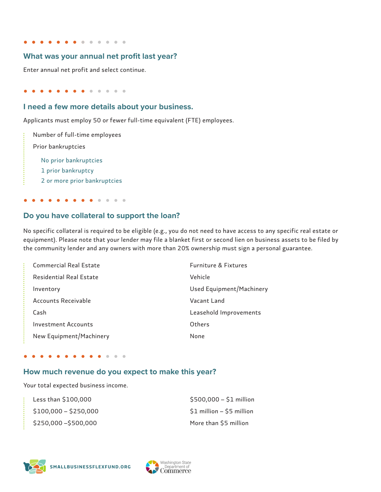. . . . . . . . . .

#### **What was your annual net profit last year?**

Enter annual net profit and select continue.

 $\begin{array}{cccccccccccccc} \bullet & \bullet & \bullet & \bullet & \bullet & \bullet & \bullet & \bullet & \bullet \end{array}$  $\bullet$ 

#### **I need a few more details about your business.**

Applicants must employ 50 or fewer full-time equivalent (FTE) employees.

Number of full-time employees Prior bankruptcies No prior bankruptcies 1 prior bankruptcy 2 or more prior bankruptcies

#### $\alpha$  .

#### **Do you have collateral to support the loan?**

 No specific collateral is required to be eligible (e.g., you do not need to have access to any specific real estate or equipment). Please note that your lender may file a blanket first or second lien on business assets to be filed by the community lender and any owners with more than 20% ownership must sign a personal guarantee.

| Commercial Real Estate     | <b>Furniture &amp; Fixtures</b> |
|----------------------------|---------------------------------|
| Residential Real Estate    | Vehicle                         |
| Inventory                  | Used Equipment/Machinery        |
| Accounts Receivable        | Vacant Land                     |
| Cash                       | Leasehold Improvements          |
| <b>Investment Accounts</b> | Others                          |
| New Equipment/Machinery    | None                            |

. . . . . . .  $\sim$  $\bullet$ 

#### **How much revenue do you expect to make this year?**

Your total expected business income.

| Less than \$100,000   | $$500,000 - $1$ million   |
|-----------------------|---------------------------|
| $$100,000 - $250,000$ | \$1 million - \$5 million |
| \$250,000 - \$500,000 | More than \$5 million     |